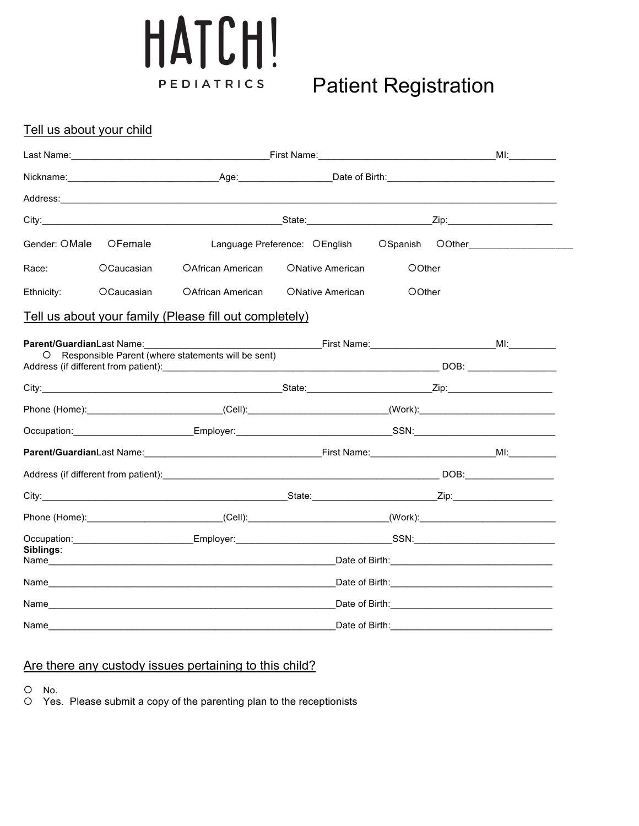## HATCH! PEDIATRICS

### **Patient Registration**

#### Tell us about your child

| Gender: OMale | OFemale    |                                                                                                                                                                                                                                | Language Preference: OEnglish |        |  | OSpanish OOther                                                                                                                                                                                                                |
|---------------|------------|--------------------------------------------------------------------------------------------------------------------------------------------------------------------------------------------------------------------------------|-------------------------------|--------|--|--------------------------------------------------------------------------------------------------------------------------------------------------------------------------------------------------------------------------------|
| Race:         | OCaucasian | <b>OAfrican American</b>                                                                                                                                                                                                       | <b>ONative American</b>       | OOther |  |                                                                                                                                                                                                                                |
| Ethnicity:    | OCaucasian | OAfrican American                                                                                                                                                                                                              | <b>ONative American</b>       | OOther |  |                                                                                                                                                                                                                                |
|               |            | Tell us about your family (Please fill out completely)                                                                                                                                                                         |                               |        |  |                                                                                                                                                                                                                                |
|               |            |                                                                                                                                                                                                                                |                               |        |  |                                                                                                                                                                                                                                |
|               |            | Responsible Parent (where statements will be sent)                                                                                                                                                                             |                               |        |  |                                                                                                                                                                                                                                |
|               |            |                                                                                                                                                                                                                                |                               |        |  |                                                                                                                                                                                                                                |
|               |            | Phone (Home):_______________________________(Cell):_____________________________(Work):_______________________                                                                                                                 |                               |        |  |                                                                                                                                                                                                                                |
|               |            |                                                                                                                                                                                                                                |                               |        |  |                                                                                                                                                                                                                                |
|               |            |                                                                                                                                                                                                                                |                               |        |  |                                                                                                                                                                                                                                |
|               |            |                                                                                                                                                                                                                                |                               |        |  |                                                                                                                                                                                                                                |
|               |            |                                                                                                                                                                                                                                |                               |        |  |                                                                                                                                                                                                                                |
|               |            |                                                                                                                                                                                                                                |                               |        |  |                                                                                                                                                                                                                                |
|               |            |                                                                                                                                                                                                                                |                               |        |  |                                                                                                                                                                                                                                |
| Siblings:     |            |                                                                                                                                                                                                                                |                               |        |  |                                                                                                                                                                                                                                |
|               |            |                                                                                                                                                                                                                                |                               |        |  |                                                                                                                                                                                                                                |
|               |            | Name and the state of the state of the state of the state of the state of the state of the state of the state of the state of the state of the state of the state of the state of the state of the state of the state of the s |                               |        |  | Date of Birth: <u>contained</u> and all the base of Birth:                                                                                                                                                                     |
|               |            | Name and the contract of the contract of the contract of the contract of the contract of the contract of the contract of the contract of the contract of the contract of the contract of the contract of the contract of the c |                               |        |  | Date of Birth: the contract of the contract of the contract of the contract of the contract of the contract of the contract of the contract of the contract of the contract of the contract of the contract of the contract of |

#### Are there any custody issues pertaining to this child?

¡ No.

O Yes. Please submit a copy of the parenting plan to the receptionists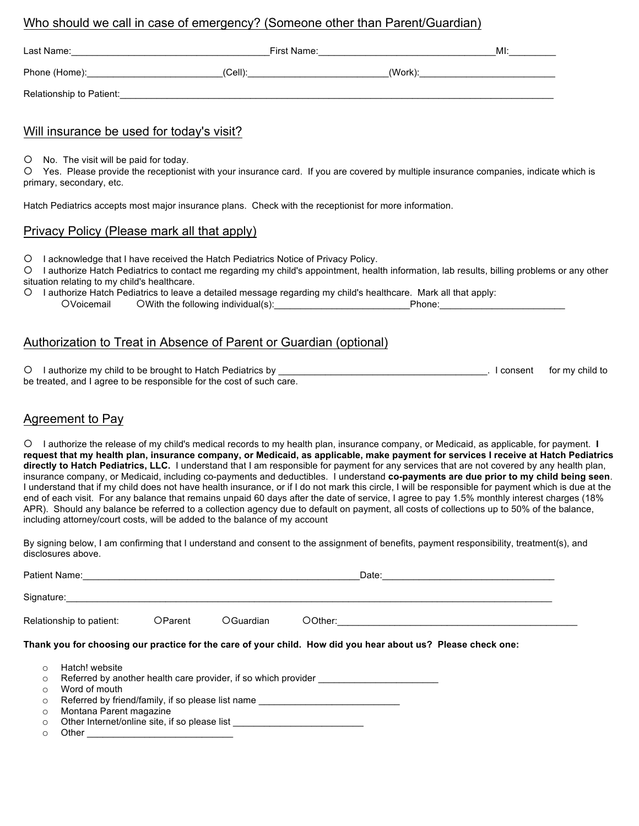#### Who should we call in case of emergency? (Someone other than Parent/Guardian)

| Last Name:               | First Name: |         | MI: |
|--------------------------|-------------|---------|-----|
| Phone (Home):            | $(Cell)$ :  | (Work): |     |
| Relationship to Patient: |             |         |     |

#### Will insurance be used for today's visit?

 $O$  No. The visit will be paid for today.

¡ Yes. Please provide the receptionist with your insurance card. If you are covered by multiple insurance companies, indicate which is primary, secondary, etc.

Hatch Pediatrics accepts most major insurance plans. Check with the receptionist for more information.

#### Privacy Policy (Please mark all that apply)

¡ I acknowledge that I have received the Hatch Pediatrics Notice of Privacy Policy.

¡ I authorize Hatch Pediatrics to contact me regarding my child's appointment, health information, lab results, billing problems or any other situation relating to my child's healthcare.

¡ I authorize Hatch Pediatrics to leave a detailed message regarding my child's healthcare. Mark all that apply: OWith the following individual(s): <br>
Phone:

#### Authorization to Treat in Absence of Parent or Guardian (optional)

O I authorize my child to be brought to Hatch Pediatrics by **Department of the set of the set of the set of the set of the set of the set of the set of the set of the set of the set of the set of the set of the set of the** be treated, and I agree to be responsible for the cost of such care.

#### Agreement to Pay

¡ I authorize the release of my child's medical records to my health plan, insurance company, or Medicaid, as applicable, for payment. **I request that my health plan, insurance company, or Medicaid, as applicable, make payment for services I receive at Hatch Pediatrics directly to Hatch Pediatrics, LLC.** I understand that I am responsible for payment for any services that are not covered by any health plan, insurance company, or Medicaid, including co-payments and deductibles. I understand **co-payments are due prior to my child being seen**. I understand that if my child does not have health insurance, or if I do not mark this circle, I will be responsible for payment which is due at the end of each visit. For any balance that remains unpaid 60 days after the date of service, I agree to pay 1.5% monthly interest charges (18% APR). Should any balance be referred to a collection agency due to default on payment, all costs of collections up to 50% of the balance, including attorney/court costs, will be added to the balance of my account

By signing below, I am confirming that I understand and consent to the assignment of benefits, payment responsibility, treatment(s), and disclosures above.

|                    |                                                                                                               |                                                           |                                                                                  | Date:                                                                                                        |  |  |
|--------------------|---------------------------------------------------------------------------------------------------------------|-----------------------------------------------------------|----------------------------------------------------------------------------------|--------------------------------------------------------------------------------------------------------------|--|--|
|                    | Signature: All the state of the state of the state of the state of the state of the state of the state of the |                                                           |                                                                                  |                                                                                                              |  |  |
|                    | Relationship to patient:                                                                                      | <b>OParent</b>                                            | OGuardian                                                                        | OOther:                                                                                                      |  |  |
|                    |                                                                                                               |                                                           |                                                                                  | Thank you for choosing our practice for the care of your child. How did you hear about us? Please check one: |  |  |
| $\circ$<br>$\circ$ | Hatch! website                                                                                                |                                                           |                                                                                  | Referred by another health care provider, if so which provider                                               |  |  |
| $\Omega$           | Word of mouth                                                                                                 |                                                           |                                                                                  |                                                                                                              |  |  |
| $\circ$            |                                                                                                               |                                                           |                                                                                  | Referred by friend/family, if so please list name ______________________________                             |  |  |
| $\circ$            | Montana Parent magazine                                                                                       |                                                           |                                                                                  |                                                                                                              |  |  |
| $\circ$            |                                                                                                               |                                                           | Other Internet/online site, if so please list __________________________________ |                                                                                                              |  |  |
| $\circ$            | Other                                                                                                         | <u> 1989 - Johann John Stone, mensk politik (d. 1989)</u> |                                                                                  |                                                                                                              |  |  |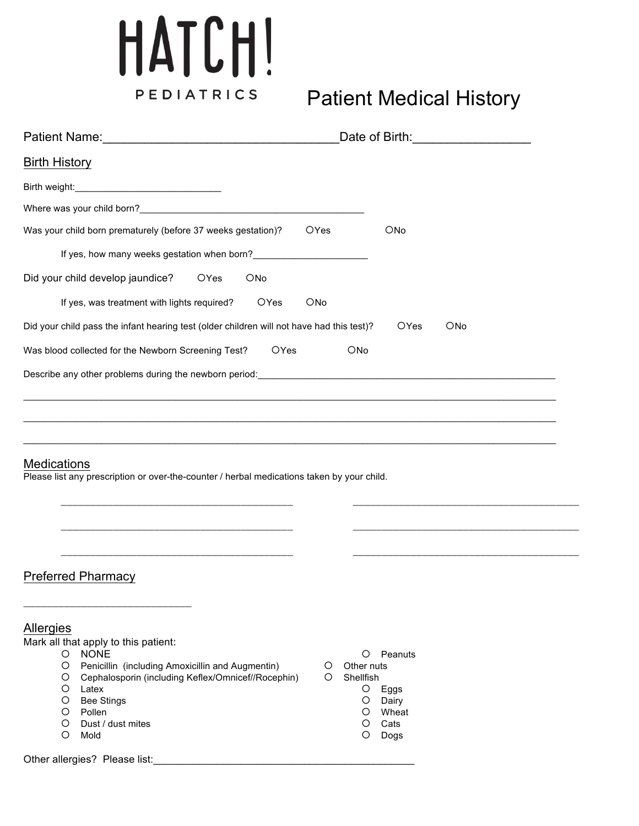# HATCH! PEDIATRICS

## **Patient Medical History**

|                                                                                                                                                                                                                                                                                                         | Date of Birth: Date of Birth:                                                                              |
|---------------------------------------------------------------------------------------------------------------------------------------------------------------------------------------------------------------------------------------------------------------------------------------------------------|------------------------------------------------------------------------------------------------------------|
| <b>Birth History</b>                                                                                                                                                                                                                                                                                    |                                                                                                            |
|                                                                                                                                                                                                                                                                                                         |                                                                                                            |
|                                                                                                                                                                                                                                                                                                         |                                                                                                            |
| Was your child born prematurely (before 37 weeks gestation)?<br>OYes                                                                                                                                                                                                                                    | <b>ONo</b>                                                                                                 |
| If yes, how many weeks gestation when born?                                                                                                                                                                                                                                                             |                                                                                                            |
| Did your child develop jaundice?<br><b>OYes</b><br>ONo                                                                                                                                                                                                                                                  |                                                                                                            |
| If yes, was treatment with lights required?<br><b>OYes</b><br><b>ONo</b>                                                                                                                                                                                                                                |                                                                                                            |
| Did your child pass the infant hearing test (older children will not have had this test)?                                                                                                                                                                                                               | <b>ONo</b><br><b>OYes</b>                                                                                  |
| Was blood collected for the Newborn Screening Test?<br>OYes                                                                                                                                                                                                                                             | <b>ONo</b>                                                                                                 |
| Describe any other problems during the newborn period: example and and all the state of the state of the state of the state of the state of the state of the state of the state of the state of the state of the state of the                                                                           |                                                                                                            |
|                                                                                                                                                                                                                                                                                                         |                                                                                                            |
|                                                                                                                                                                                                                                                                                                         |                                                                                                            |
| <b>Medications</b><br>Please list any prescription or over-the-counter / herbal medications taken by your child.                                                                                                                                                                                        |                                                                                                            |
| <b>Preferred Pharmacy</b>                                                                                                                                                                                                                                                                               |                                                                                                            |
| Allergies<br>Mark all that apply to this patient:<br><b>NONE</b><br>$\circ$<br>Penicillin (including Amoxicillin and Augmentin)<br>O<br>O<br>O<br>Cephalosporin (including Keflex/Omnicef//Rocephin)<br>O<br>O<br>Latex<br>O<br><b>Bee Stings</b><br>Pollen<br>O<br>O<br>Dust / dust mites<br>O<br>Mold | O<br>Peanuts<br>Other nuts<br>Shellfish<br>O<br>Eggs<br>O<br>Dairy<br>O<br>Wheat<br>O<br>Cats<br>O<br>Dogs |
| Other allergies? Please list:<br><u> 1980 - Johann Barbara, martin amerikan ba</u>                                                                                                                                                                                                                      |                                                                                                            |